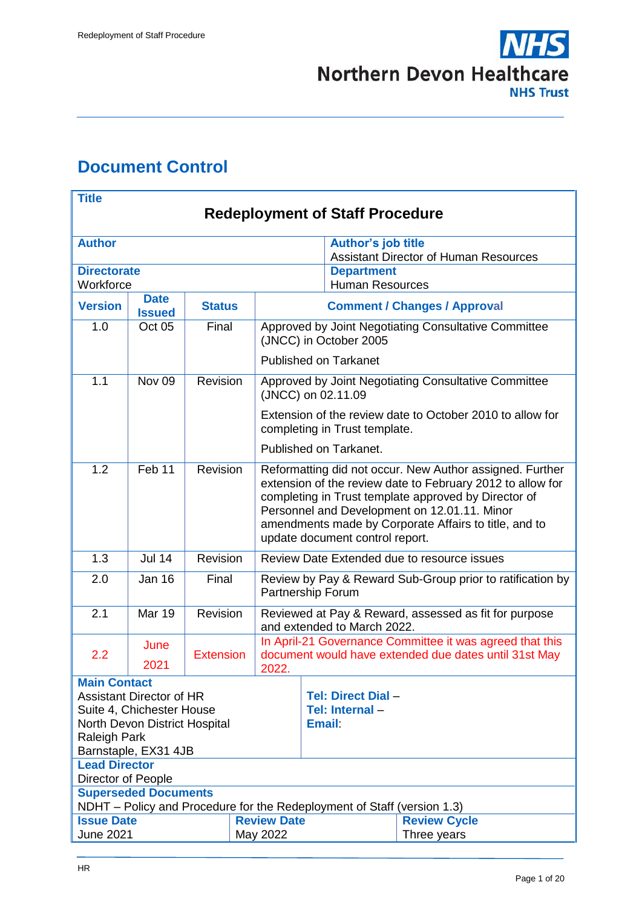

# <span id="page-0-0"></span>**Document Control**

| <b>Title</b>                                                                                           |                                 |                                                                                                                                                |                    |                                                                                                                                                                                                                                                                                                                            |                                                           |  |
|--------------------------------------------------------------------------------------------------------|---------------------------------|------------------------------------------------------------------------------------------------------------------------------------------------|--------------------|----------------------------------------------------------------------------------------------------------------------------------------------------------------------------------------------------------------------------------------------------------------------------------------------------------------------------|-----------------------------------------------------------|--|
| <b>Redeployment of Staff Procedure</b>                                                                 |                                 |                                                                                                                                                |                    |                                                                                                                                                                                                                                                                                                                            |                                                           |  |
| <b>Author</b>                                                                                          |                                 |                                                                                                                                                |                    | <b>Author's job title</b>                                                                                                                                                                                                                                                                                                  | <b>Assistant Director of Human Resources</b>              |  |
| <b>Directorate</b><br>Workforce                                                                        |                                 |                                                                                                                                                |                    | <b>Department</b><br><b>Human Resources</b>                                                                                                                                                                                                                                                                                |                                                           |  |
| <b>Version</b>                                                                                         | <b>Date</b><br><b>Issued</b>    | <b>Status</b>                                                                                                                                  |                    |                                                                                                                                                                                                                                                                                                                            | <b>Comment / Changes / Approval</b>                       |  |
| 1.0                                                                                                    | Oct 05                          | Final                                                                                                                                          |                    | (JNCC) in October 2005                                                                                                                                                                                                                                                                                                     | Approved by Joint Negotiating Consultative Committee      |  |
|                                                                                                        |                                 |                                                                                                                                                |                    | <b>Published on Tarkanet</b>                                                                                                                                                                                                                                                                                               |                                                           |  |
| 1.1                                                                                                    | Nov <sub>09</sub>               | Revision                                                                                                                                       |                    | (JNCC) on 02.11.09                                                                                                                                                                                                                                                                                                         | Approved by Joint Negotiating Consultative Committee      |  |
|                                                                                                        |                                 |                                                                                                                                                |                    | completing in Trust template.                                                                                                                                                                                                                                                                                              | Extension of the review date to October 2010 to allow for |  |
|                                                                                                        |                                 |                                                                                                                                                |                    | Published on Tarkanet.                                                                                                                                                                                                                                                                                                     |                                                           |  |
| 1.2                                                                                                    | Feb 11                          | Revision                                                                                                                                       |                    | Reformatting did not occur. New Author assigned. Further<br>extension of the review date to February 2012 to allow for<br>completing in Trust template approved by Director of<br>Personnel and Development on 12.01.11. Minor<br>amendments made by Corporate Affairs to title, and to<br>update document control report. |                                                           |  |
| 1.3                                                                                                    | $Jul$ 14                        | <b>Revision</b>                                                                                                                                |                    | Review Date Extended due to resource issues                                                                                                                                                                                                                                                                                |                                                           |  |
| 2.0                                                                                                    | <b>Jan 16</b>                   | Final                                                                                                                                          |                    | Review by Pay & Reward Sub-Group prior to ratification by<br>Partnership Forum                                                                                                                                                                                                                                             |                                                           |  |
| 2.1                                                                                                    | <b>Mar 19</b>                   | Revision                                                                                                                                       |                    | Reviewed at Pay & Reward, assessed as fit for purpose<br>and extended to March 2022.                                                                                                                                                                                                                                       |                                                           |  |
| 2.2                                                                                                    | June<br>2021                    | In April-21 Governance Committee it was agreed that this<br><b>Extension</b><br>document would have extended due dates until 31st May<br>2022. |                    |                                                                                                                                                                                                                                                                                                                            |                                                           |  |
| <b>Main Contact</b>                                                                                    |                                 |                                                                                                                                                |                    |                                                                                                                                                                                                                                                                                                                            |                                                           |  |
|                                                                                                        | <b>Assistant Director of HR</b> |                                                                                                                                                |                    | Tel: Direct Dial -                                                                                                                                                                                                                                                                                                         |                                                           |  |
| Suite 4, Chichester House                                                                              |                                 |                                                                                                                                                |                    | Tel: Internal-                                                                                                                                                                                                                                                                                                             |                                                           |  |
| North Devon District Hospital<br>Raleigh Park                                                          |                                 |                                                                                                                                                |                    | <b>Email</b>                                                                                                                                                                                                                                                                                                               |                                                           |  |
| Barnstaple, EX31 4JB                                                                                   |                                 |                                                                                                                                                |                    |                                                                                                                                                                                                                                                                                                                            |                                                           |  |
| <b>Lead Director</b>                                                                                   |                                 |                                                                                                                                                |                    |                                                                                                                                                                                                                                                                                                                            |                                                           |  |
| Director of People                                                                                     |                                 |                                                                                                                                                |                    |                                                                                                                                                                                                                                                                                                                            |                                                           |  |
| <b>Superseded Documents</b><br>NDHT – Policy and Procedure for the Redeployment of Staff (version 1.3) |                                 |                                                                                                                                                |                    |                                                                                                                                                                                                                                                                                                                            |                                                           |  |
| <b>Issue Date</b>                                                                                      |                                 |                                                                                                                                                | <b>Review Date</b> |                                                                                                                                                                                                                                                                                                                            | <b>Review Cycle</b>                                       |  |
| <b>June 2021</b>                                                                                       |                                 |                                                                                                                                                | May 2022           |                                                                                                                                                                                                                                                                                                                            | Three years                                               |  |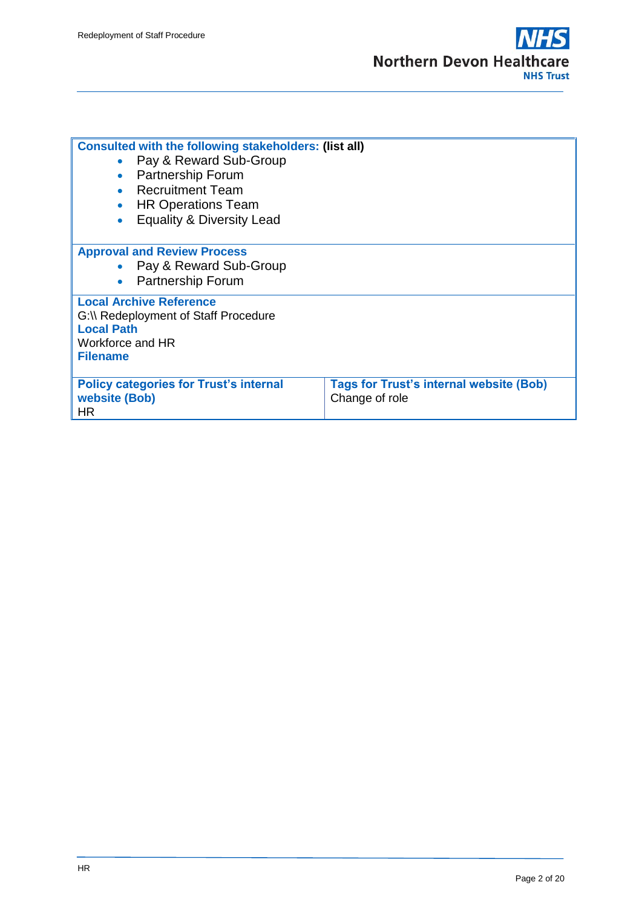

| <b>Consulted with the following stakeholders: (list all)</b><br>Pay & Reward Sub-Group<br><b>Partnership Forum</b><br>• Recruitment Team<br><b>HR Operations Team</b><br>$\bullet$<br><b>Equality &amp; Diversity Lead</b> |                                                                  |  |  |
|----------------------------------------------------------------------------------------------------------------------------------------------------------------------------------------------------------------------------|------------------------------------------------------------------|--|--|
| <b>Approval and Review Process</b><br>• Pay & Reward Sub-Group<br><b>Partnership Forum</b>                                                                                                                                 |                                                                  |  |  |
| <b>Local Archive Reference</b><br>G:\\ Redeployment of Staff Procedure<br><b>Local Path</b><br>Workforce and HR<br><b>Filename</b>                                                                                         |                                                                  |  |  |
| <b>Policy categories for Trust's internal</b><br>website (Bob)<br>HR.                                                                                                                                                      | <b>Tags for Trust's internal website (Bob)</b><br>Change of role |  |  |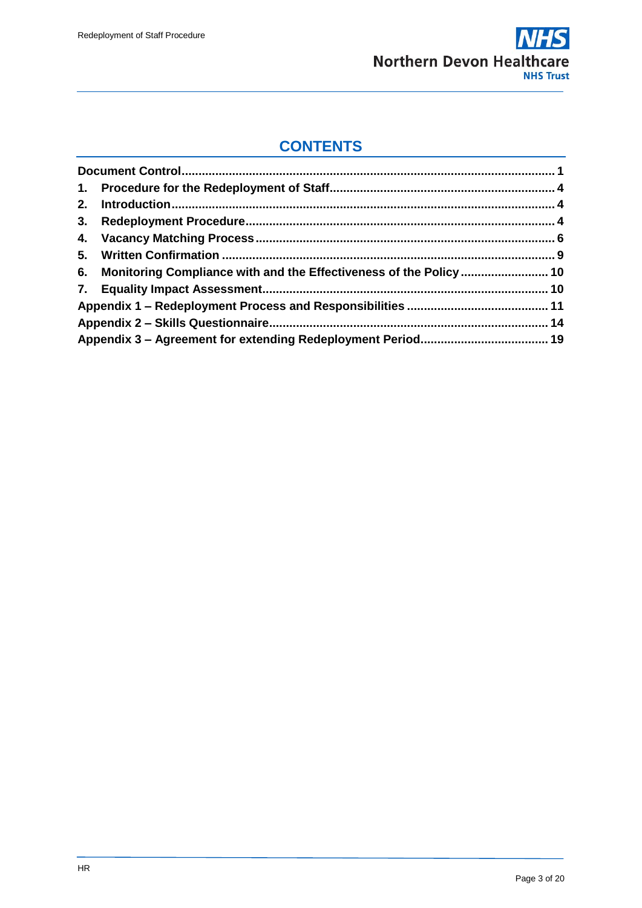

# **CONTENTS**

| 6. Monitoring Compliance with and the Effectiveness of the Policy  10 |  |
|-----------------------------------------------------------------------|--|
|                                                                       |  |
|                                                                       |  |
|                                                                       |  |
|                                                                       |  |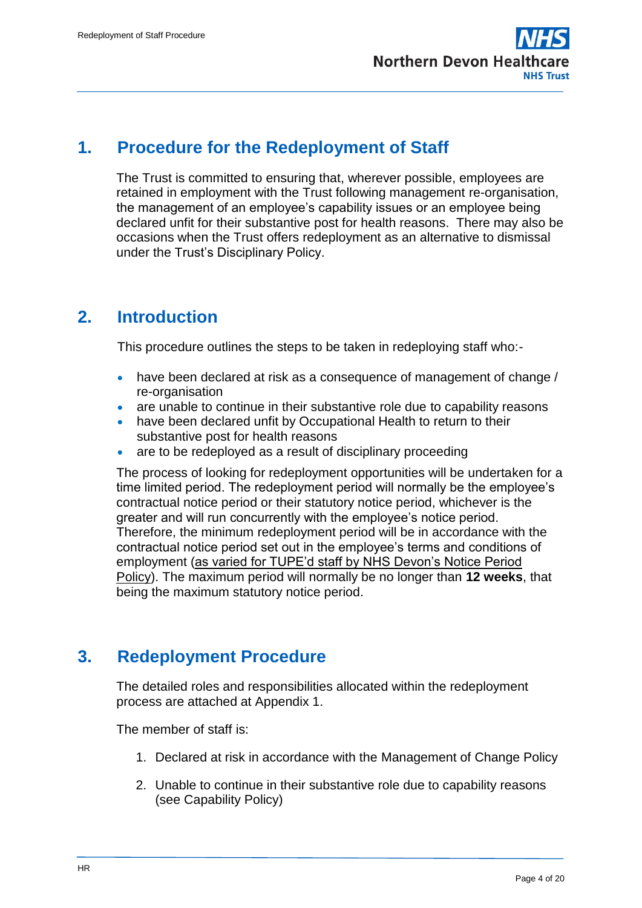

## <span id="page-3-0"></span>**1. Procedure for the Redeployment of Staff**

The Trust is committed to ensuring that, wherever possible, employees are retained in employment with the Trust following management re-organisation, the management of an employee's capability issues or an employee being declared unfit for their substantive post for health reasons. There may also be occasions when the Trust offers redeployment as an alternative to dismissal under the Trust's Disciplinary Policy.

# <span id="page-3-1"></span>**2. Introduction**

This procedure outlines the steps to be taken in redeploying staff who:-

- have been declared at risk as a consequence of management of change / re-organisation
- are unable to continue in their substantive role due to capability reasons
- have been declared unfit by Occupational Health to return to their substantive post for health reasons
- are to be redeployed as a result of disciplinary proceeding

The process of looking for redeployment opportunities will be undertaken for a time limited period. The redeployment period will normally be the employee's contractual notice period or their statutory notice period, whichever is the greater and will run concurrently with the employee's notice period. Therefore, the minimum redeployment period will be in accordance with the contractual notice period set out in the employee's terms and conditions of employment (as varied for TUPE'd staff by NHS Devon's Notice Period Policy). The maximum period will normally be no longer than **12 weeks**, that being the maximum statutory notice period.

# <span id="page-3-2"></span>**3. Redeployment Procedure**

The detailed roles and responsibilities allocated within the redeployment process are attached at Appendix 1.

The member of staff is:

- 1. Declared at risk in accordance with the Management of Change Policy
- 2. Unable to continue in their substantive role due to capability reasons (see Capability Policy)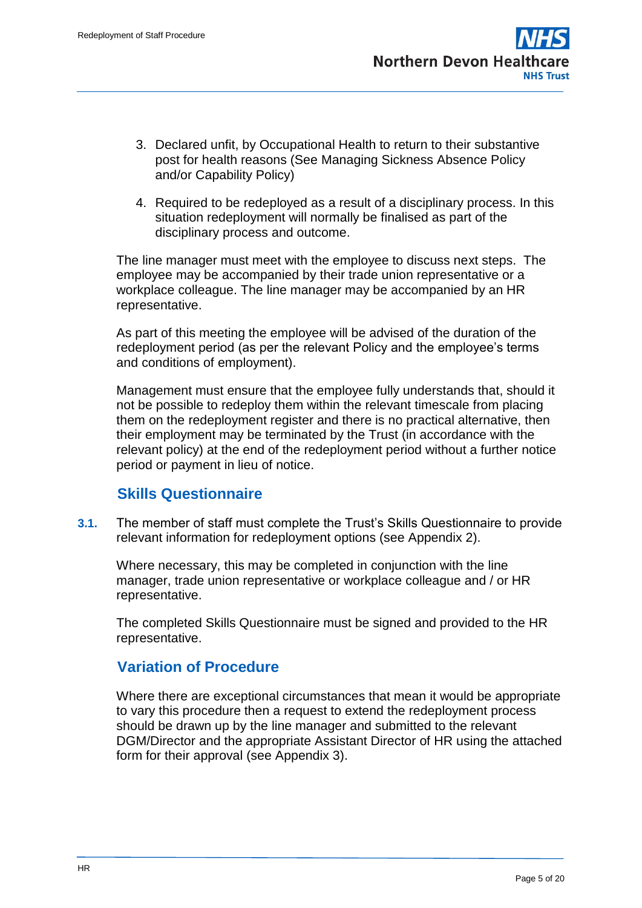- 3. Declared unfit, by Occupational Health to return to their substantive post for health reasons (See Managing Sickness Absence Policy and/or Capability Policy)
- 4. Required to be redeployed as a result of a disciplinary process. In this situation redeployment will normally be finalised as part of the disciplinary process and outcome.

The line manager must meet with the employee to discuss next steps. The employee may be accompanied by their trade union representative or a workplace colleague. The line manager may be accompanied by an HR representative.

As part of this meeting the employee will be advised of the duration of the redeployment period (as per the relevant Policy and the employee's terms and conditions of employment).

Management must ensure that the employee fully understands that, should it not be possible to redeploy them within the relevant timescale from placing them on the redeployment register and there is no practical alternative, then their employment may be terminated by the Trust (in accordance with the relevant policy) at the end of the redeployment period without a further notice period or payment in lieu of notice.

## **Skills Questionnaire**

**3.1.** The member of staff must complete the Trust's Skills Questionnaire to provide relevant information for redeployment options (see Appendix 2).

Where necessary, this may be completed in conjunction with the line manager, trade union representative or workplace colleague and / or HR representative.

The completed Skills Questionnaire must be signed and provided to the HR representative.

## **Variation of Procedure**

Where there are exceptional circumstances that mean it would be appropriate to vary this procedure then a request to extend the redeployment process should be drawn up by the line manager and submitted to the relevant DGM/Director and the appropriate Assistant Director of HR using the attached form for their approval (see Appendix 3).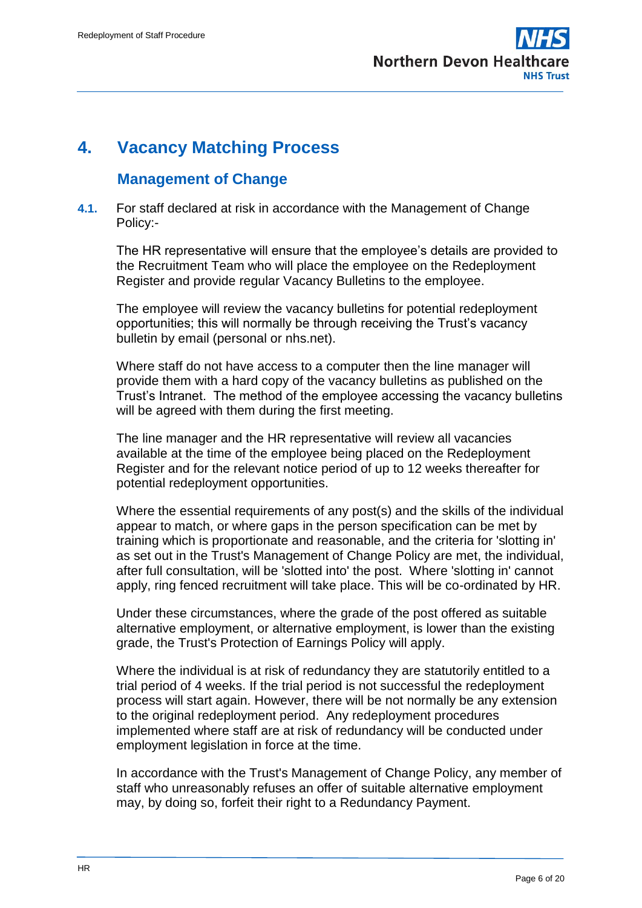

# <span id="page-5-0"></span>**4. Vacancy Matching Process**

### **Management of Change**

**4.1.** For staff declared at risk in accordance with the Management of Change Policy:-

The HR representative will ensure that the employee's details are provided to the Recruitment Team who will place the employee on the Redeployment Register and provide regular Vacancy Bulletins to the employee.

The employee will review the vacancy bulletins for potential redeployment opportunities; this will normally be through receiving the Trust's vacancy bulletin by email (personal or nhs.net).

Where staff do not have access to a computer then the line manager will provide them with a hard copy of the vacancy bulletins as published on the Trust's Intranet. The method of the employee accessing the vacancy bulletins will be agreed with them during the first meeting.

The line manager and the HR representative will review all vacancies available at the time of the employee being placed on the Redeployment Register and for the relevant notice period of up to 12 weeks thereafter for potential redeployment opportunities.

Where the essential requirements of any post(s) and the skills of the individual appear to match, or where gaps in the person specification can be met by training which is proportionate and reasonable, and the criteria for 'slotting in' as set out in the Trust's Management of Change Policy are met, the individual, after full consultation, will be 'slotted into' the post. Where 'slotting in' cannot apply, ring fenced recruitment will take place. This will be co-ordinated by HR.

Under these circumstances, where the grade of the post offered as suitable alternative employment, or alternative employment, is lower than the existing grade, the Trust's Protection of Earnings Policy will apply.

Where the individual is at risk of redundancy they are statutorily entitled to a trial period of 4 weeks. If the trial period is not successful the redeployment process will start again. However, there will be not normally be any extension to the original redeployment period. Any redeployment procedures implemented where staff are at risk of redundancy will be conducted under employment legislation in force at the time.

In accordance with the Trust's Management of Change Policy, any member of staff who unreasonably refuses an offer of suitable alternative employment may, by doing so, forfeit their right to a Redundancy Payment.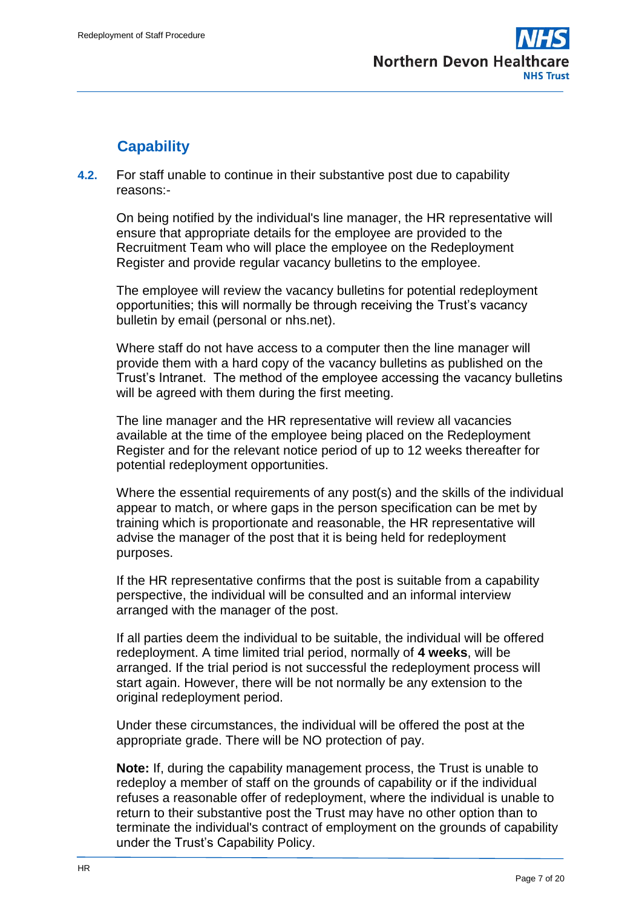

# **Capability**

**4.2.** For staff unable to continue in their substantive post due to capability reasons:-

On being notified by the individual's line manager, the HR representative will ensure that appropriate details for the employee are provided to the Recruitment Team who will place the employee on the Redeployment Register and provide regular vacancy bulletins to the employee.

The employee will review the vacancy bulletins for potential redeployment opportunities; this will normally be through receiving the Trust's vacancy bulletin by email (personal or nhs.net).

Where staff do not have access to a computer then the line manager will provide them with a hard copy of the vacancy bulletins as published on the Trust's Intranet. The method of the employee accessing the vacancy bulletins will be agreed with them during the first meeting.

The line manager and the HR representative will review all vacancies available at the time of the employee being placed on the Redeployment Register and for the relevant notice period of up to 12 weeks thereafter for potential redeployment opportunities.

Where the essential requirements of any post(s) and the skills of the individual appear to match, or where gaps in the person specification can be met by training which is proportionate and reasonable, the HR representative will advise the manager of the post that it is being held for redeployment purposes.

If the HR representative confirms that the post is suitable from a capability perspective, the individual will be consulted and an informal interview arranged with the manager of the post.

If all parties deem the individual to be suitable, the individual will be offered redeployment. A time limited trial period, normally of **4 weeks**, will be arranged. If the trial period is not successful the redeployment process will start again. However, there will be not normally be any extension to the original redeployment period.

Under these circumstances, the individual will be offered the post at the appropriate grade. There will be NO protection of pay.

**Note:** If, during the capability management process, the Trust is unable to redeploy a member of staff on the grounds of capability or if the individual refuses a reasonable offer of redeployment, where the individual is unable to return to their substantive post the Trust may have no other option than to terminate the individual's contract of employment on the grounds of capability under the Trust's Capability Policy.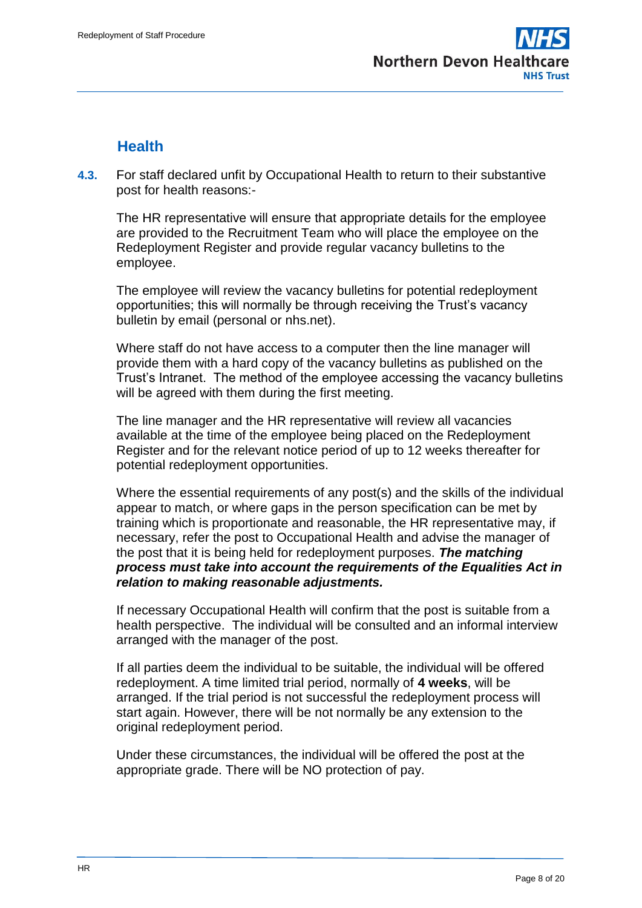

## **Health**

**4.3.** For staff declared unfit by Occupational Health to return to their substantive post for health reasons:-

The HR representative will ensure that appropriate details for the employee are provided to the Recruitment Team who will place the employee on the Redeployment Register and provide regular vacancy bulletins to the employee.

The employee will review the vacancy bulletins for potential redeployment opportunities; this will normally be through receiving the Trust's vacancy bulletin by email (personal or nhs.net).

Where staff do not have access to a computer then the line manager will provide them with a hard copy of the vacancy bulletins as published on the Trust's Intranet. The method of the employee accessing the vacancy bulletins will be agreed with them during the first meeting.

The line manager and the HR representative will review all vacancies available at the time of the employee being placed on the Redeployment Register and for the relevant notice period of up to 12 weeks thereafter for potential redeployment opportunities.

Where the essential requirements of any post(s) and the skills of the individual appear to match, or where gaps in the person specification can be met by training which is proportionate and reasonable, the HR representative may, if necessary, refer the post to Occupational Health and advise the manager of the post that it is being held for redeployment purposes. *The matching process must take into account the requirements of the Equalities Act in relation to making reasonable adjustments.*

If necessary Occupational Health will confirm that the post is suitable from a health perspective. The individual will be consulted and an informal interview arranged with the manager of the post.

If all parties deem the individual to be suitable, the individual will be offered redeployment. A time limited trial period, normally of **4 weeks**, will be arranged. If the trial period is not successful the redeployment process will start again. However, there will be not normally be any extension to the original redeployment period.

Under these circumstances, the individual will be offered the post at the appropriate grade. There will be NO protection of pay.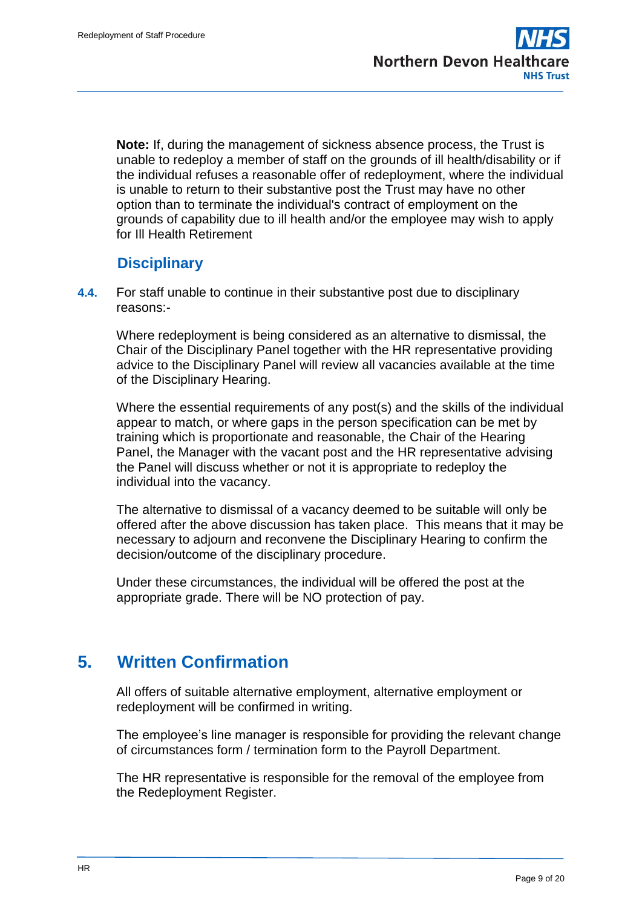**Note:** If, during the management of sickness absence process, the Trust is unable to redeploy a member of staff on the grounds of ill health/disability or if the individual refuses a reasonable offer of redeployment, where the individual is unable to return to their substantive post the Trust may have no other option than to terminate the individual's contract of employment on the grounds of capability due to ill health and/or the employee may wish to apply for Ill Health Retirement

## **Disciplinary**

**4.4.** For staff unable to continue in their substantive post due to disciplinary reasons:-

Where redeployment is being considered as an alternative to dismissal, the Chair of the Disciplinary Panel together with the HR representative providing advice to the Disciplinary Panel will review all vacancies available at the time of the Disciplinary Hearing.

Where the essential requirements of any post(s) and the skills of the individual appear to match, or where gaps in the person specification can be met by training which is proportionate and reasonable, the Chair of the Hearing Panel, the Manager with the vacant post and the HR representative advising the Panel will discuss whether or not it is appropriate to redeploy the individual into the vacancy.

The alternative to dismissal of a vacancy deemed to be suitable will only be offered after the above discussion has taken place. This means that it may be necessary to adjourn and reconvene the Disciplinary Hearing to confirm the decision/outcome of the disciplinary procedure.

Under these circumstances, the individual will be offered the post at the appropriate grade. There will be NO protection of pay.

# <span id="page-8-0"></span>**5. Written Confirmation**

All offers of suitable alternative employment, alternative employment or redeployment will be confirmed in writing.

The employee's line manager is responsible for providing the relevant change of circumstances form / termination form to the Payroll Department.

The HR representative is responsible for the removal of the employee from the Redeployment Register.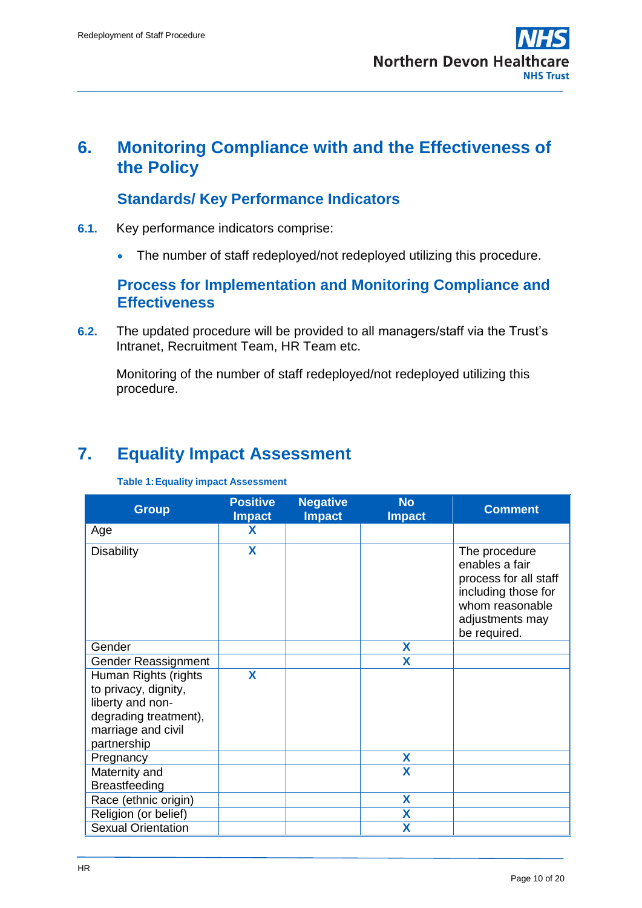# <span id="page-9-0"></span>**6. Monitoring Compliance with and the Effectiveness of the Policy**

## **Standards/ Key Performance Indicators**

- **6.1.** Key performance indicators comprise:
	- The number of staff redeployed/not redeployed utilizing this procedure.

### **Process for Implementation and Monitoring Compliance and Effectiveness**

**6.2.** The updated procedure will be provided to all managers/staff via the Trust's Intranet, Recruitment Team, HR Team etc.

Monitoring of the number of staff redeployed/not redeployed utilizing this procedure.

# <span id="page-9-1"></span>**7. Equality Impact Assessment**

#### **Table 1:Equality impact Assessment**

| <b>Group</b>                                                                                                                   | <b>Positive</b><br><b>Impact</b> | <b>Negative</b><br><b>Impact</b> | <b>No</b><br><b>Impact</b> | <b>Comment</b>                                                                                                                        |
|--------------------------------------------------------------------------------------------------------------------------------|----------------------------------|----------------------------------|----------------------------|---------------------------------------------------------------------------------------------------------------------------------------|
| Age                                                                                                                            | X                                |                                  |                            |                                                                                                                                       |
| <b>Disability</b>                                                                                                              | X                                |                                  |                            | The procedure<br>enables a fair<br>process for all staff<br>including those for<br>whom reasonable<br>adjustments may<br>be required. |
| Gender                                                                                                                         |                                  |                                  | X                          |                                                                                                                                       |
| Gender Reassignment                                                                                                            |                                  |                                  | X                          |                                                                                                                                       |
| Human Rights (rights<br>to privacy, dignity,<br>liberty and non-<br>degrading treatment),<br>marriage and civil<br>partnership | X                                |                                  |                            |                                                                                                                                       |
| Pregnancy                                                                                                                      |                                  |                                  | X                          |                                                                                                                                       |
| Maternity and<br>Breastfeeding                                                                                                 |                                  |                                  | $\overline{\mathbf{X}}$    |                                                                                                                                       |
| Race (ethnic origin)                                                                                                           |                                  |                                  | X                          |                                                                                                                                       |
| Religion (or belief)                                                                                                           |                                  |                                  | X                          |                                                                                                                                       |
| <b>Sexual Orientation</b>                                                                                                      |                                  |                                  | Х                          |                                                                                                                                       |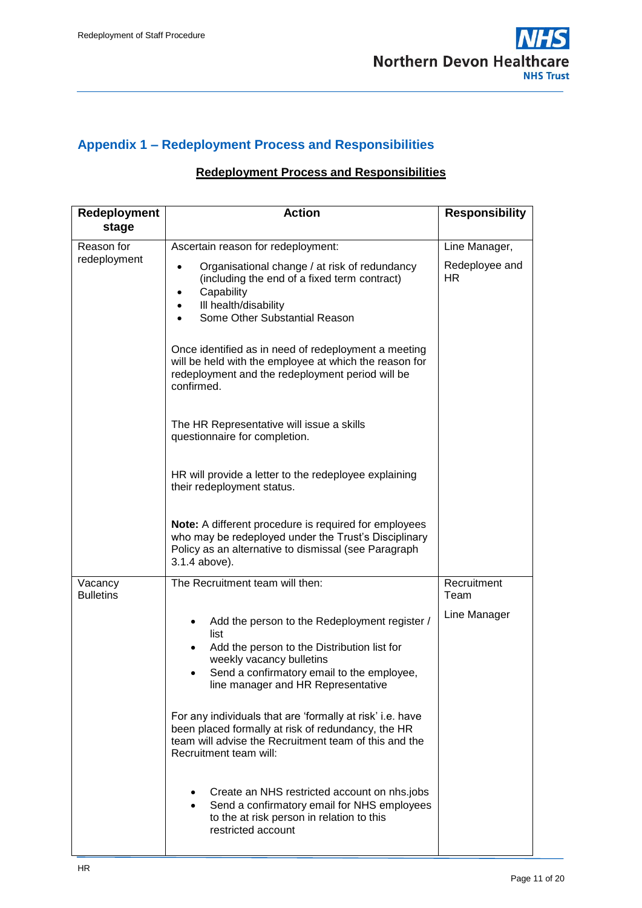

## <span id="page-10-0"></span>**Appendix 1 – Redeployment Process and Responsibilities**

### **Redeployment Process and Responsibilities**

| Redeployment<br>stage       | <b>Action</b>                                                                                                                                                                                                                              | <b>Responsibility</b> |
|-----------------------------|--------------------------------------------------------------------------------------------------------------------------------------------------------------------------------------------------------------------------------------------|-----------------------|
| Reason for                  | Ascertain reason for redeployment:                                                                                                                                                                                                         | Line Manager,         |
| redeployment                | Organisational change / at risk of redundancy<br>$\bullet$<br>(including the end of a fixed term contract)<br>Capability<br>Ill health/disability<br>Some Other Substantial Reason<br>Once identified as in need of redeployment a meeting | Redeployee and<br>HR  |
|                             | will be held with the employee at which the reason for<br>redeployment and the redeployment period will be<br>confirmed.                                                                                                                   |                       |
|                             | The HR Representative will issue a skills<br>questionnaire for completion.                                                                                                                                                                 |                       |
|                             | HR will provide a letter to the redeployee explaining<br>their redeployment status.                                                                                                                                                        |                       |
|                             | Note: A different procedure is required for employees<br>who may be redeployed under the Trust's Disciplinary<br>Policy as an alternative to dismissal (see Paragraph<br>3.1.4 above).                                                     |                       |
| Vacancy<br><b>Bulletins</b> | The Recruitment team will then:                                                                                                                                                                                                            | Recruitment<br>Team   |
|                             | Add the person to the Redeployment register /<br>$\bullet$<br>list                                                                                                                                                                         | Line Manager          |
|                             | Add the person to the Distribution list for<br>$\bullet$<br>weekly vacancy bulletins                                                                                                                                                       |                       |
|                             | Send a confirmatory email to the employee,<br>line manager and HR Representative                                                                                                                                                           |                       |
|                             | For any individuals that are 'formally at risk' i.e. have<br>been placed formally at risk of redundancy, the HR<br>team will advise the Recruitment team of this and the<br>Recruitment team will:                                         |                       |
|                             | Create an NHS restricted account on nhs.jobs<br>Send a confirmatory email for NHS employees<br>to the at risk person in relation to this<br>restricted account                                                                             |                       |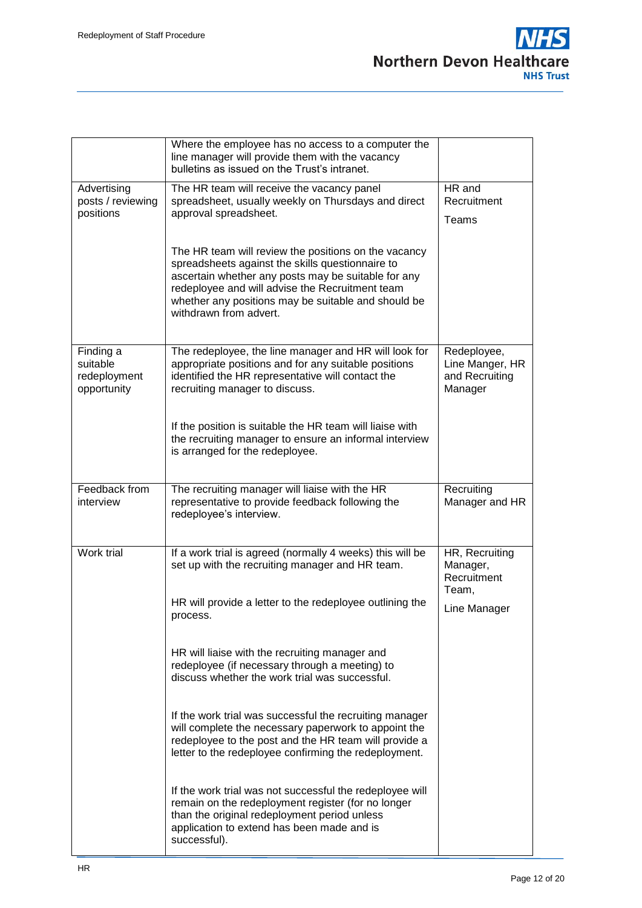

|                                                      | Where the employee has no access to a computer the<br>line manager will provide them with the vacancy<br>bulletins as issued on the Trust's intranet.                                                                                                                                               |                                                             |
|------------------------------------------------------|-----------------------------------------------------------------------------------------------------------------------------------------------------------------------------------------------------------------------------------------------------------------------------------------------------|-------------------------------------------------------------|
| Advertising<br>posts / reviewing<br>positions        | The HR team will receive the vacancy panel<br>spreadsheet, usually weekly on Thursdays and direct<br>approval spreadsheet.                                                                                                                                                                          | HR and<br>Recruitment<br>Teams                              |
|                                                      | The HR team will review the positions on the vacancy<br>spreadsheets against the skills questionnaire to<br>ascertain whether any posts may be suitable for any<br>redeployee and will advise the Recruitment team<br>whether any positions may be suitable and should be<br>withdrawn from advert. |                                                             |
| Finding a<br>suitable<br>redeployment<br>opportunity | The redeployee, the line manager and HR will look for<br>appropriate positions and for any suitable positions<br>identified the HR representative will contact the<br>recruiting manager to discuss.                                                                                                | Redeployee,<br>Line Manger, HR<br>and Recruiting<br>Manager |
|                                                      | If the position is suitable the HR team will liaise with<br>the recruiting manager to ensure an informal interview<br>is arranged for the redeployee.                                                                                                                                               |                                                             |
| Feedback from<br>interview                           | The recruiting manager will liaise with the HR<br>representative to provide feedback following the<br>redeployee's interview.                                                                                                                                                                       | Recruiting<br>Manager and HR                                |
| Work trial                                           | If a work trial is agreed (normally 4 weeks) this will be<br>set up with the recruiting manager and HR team.                                                                                                                                                                                        | HR, Recruiting<br>Manager,<br>Recruitment<br>Team,          |
|                                                      | HR will provide a letter to the redeployee outlining the<br>process.                                                                                                                                                                                                                                | Line Manager                                                |
|                                                      | HR will liaise with the recruiting manager and<br>redeployee (if necessary through a meeting) to<br>discuss whether the work trial was successful.                                                                                                                                                  |                                                             |
|                                                      | If the work trial was successful the recruiting manager<br>will complete the necessary paperwork to appoint the<br>redeployee to the post and the HR team will provide a<br>letter to the redeployee confirming the redeployment.                                                                   |                                                             |
|                                                      | If the work trial was not successful the redeployee will<br>remain on the redeployment register (for no longer<br>than the original redeployment period unless<br>application to extend has been made and is<br>successful).                                                                        |                                                             |

┚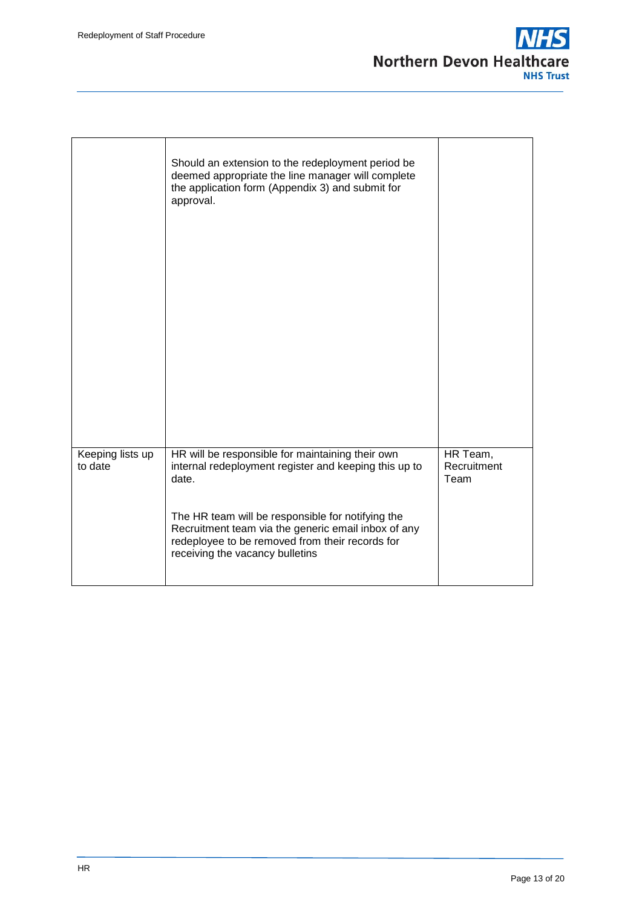

|                             | Should an extension to the redeployment period be<br>deemed appropriate the line manager will complete<br>the application form (Appendix 3) and submit for<br>approval.                        |                                 |
|-----------------------------|------------------------------------------------------------------------------------------------------------------------------------------------------------------------------------------------|---------------------------------|
| Keeping lists up<br>to date | HR will be responsible for maintaining their own<br>internal redeployment register and keeping this up to<br>date.                                                                             | HR Team,<br>Recruitment<br>Team |
|                             | The HR team will be responsible for notifying the<br>Recruitment team via the generic email inbox of any<br>redeployee to be removed from their records for<br>receiving the vacancy bulletins |                                 |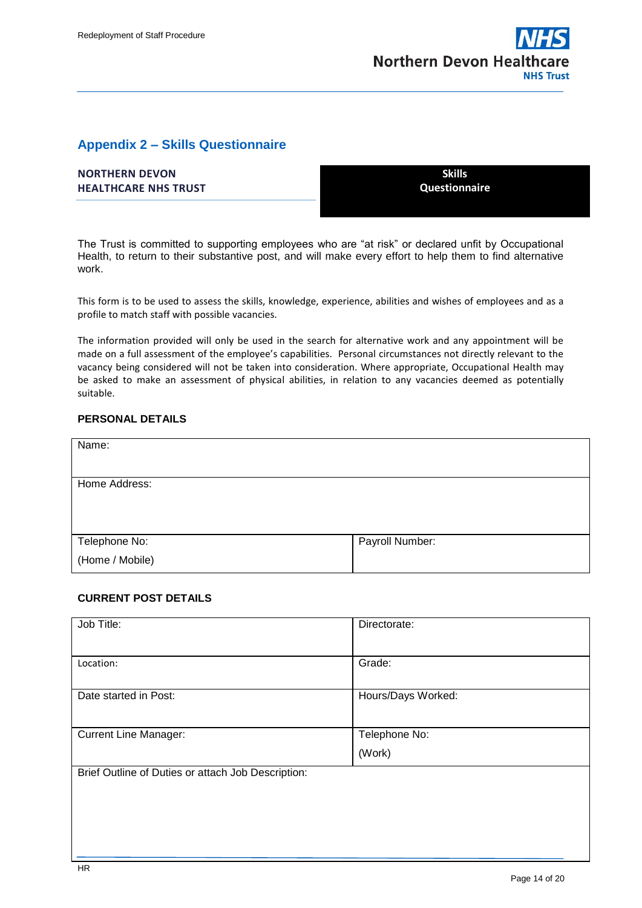

#### <span id="page-13-0"></span>**Appendix 2 – Skills Questionnaire**

| <b>NORTHERN DEVON</b>       | <b>Skills</b>        |
|-----------------------------|----------------------|
| <b>HEALTHCARE NHS TRUST</b> | <b>Questionnaire</b> |
|                             |                      |

The Trust is committed to supporting employees who are "at risk" or declared unfit by Occupational Health, to return to their substantive post, and will make every effort to help them to find alternative work.

This form is to be used to assess the skills, knowledge, experience, abilities and wishes of employees and as a profile to match staff with possible vacancies.

The information provided will only be used in the search for alternative work and any appointment will be made on a full assessment of the employee's capabilities. Personal circumstances not directly relevant to the vacancy being considered will not be taken into consideration. Where appropriate, Occupational Health may be asked to make an assessment of physical abilities, in relation to any vacancies deemed as potentially suitable.

#### **PERSONAL DETAILS**

| Name:           |                 |
|-----------------|-----------------|
|                 |                 |
| Home Address:   |                 |
|                 |                 |
|                 |                 |
| Telephone No:   | Payroll Number: |
| (Home / Mobile) |                 |

#### **CURRENT POST DETAILS**

| Job Title:                                         | Directorate:       |
|----------------------------------------------------|--------------------|
| Location:                                          | Grade:             |
| Date started in Post:                              | Hours/Days Worked: |
| <b>Current Line Manager:</b>                       | Telephone No:      |
|                                                    | (Work)             |
| Brief Outline of Duties or attach Job Description: |                    |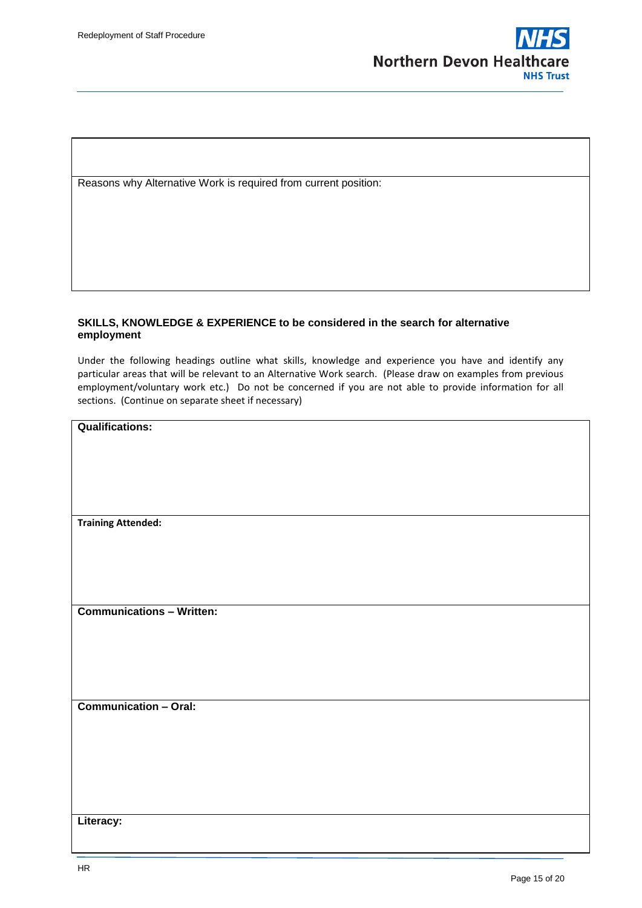

Reasons why Alternative Work is required from current position:

#### **SKILLS, KNOWLEDGE & EXPERIENCE to be considered in the search for alternative employment**

Under the following headings outline what skills, knowledge and experience you have and identify any particular areas that will be relevant to an Alternative Work search. (Please draw on examples from previous employment/voluntary work etc.) Do not be concerned if you are not able to provide information for all sections. (Continue on separate sheet if necessary)

| <b>Qualifications:</b>           |
|----------------------------------|
|                                  |
|                                  |
|                                  |
|                                  |
| <b>Training Attended:</b>        |
|                                  |
|                                  |
|                                  |
|                                  |
| <b>Communications - Written:</b> |
|                                  |
|                                  |
|                                  |
|                                  |
|                                  |
| <b>Communication - Oral:</b>     |
|                                  |
|                                  |
|                                  |
|                                  |
|                                  |

**Literacy:**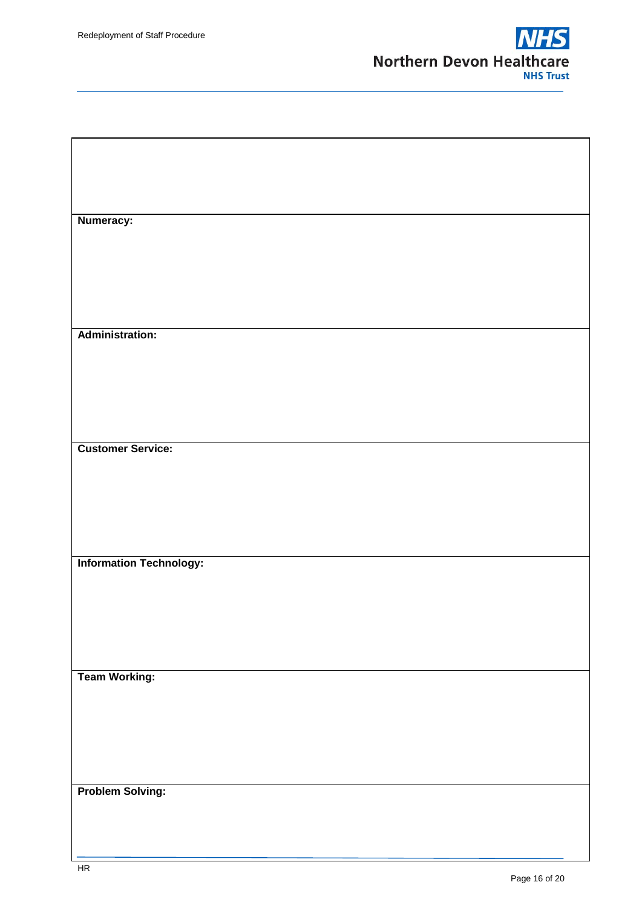

| Numeracy:                      |  |
|--------------------------------|--|
|                                |  |
|                                |  |
|                                |  |
|                                |  |
|                                |  |
|                                |  |
|                                |  |
|                                |  |
|                                |  |
|                                |  |
|                                |  |
|                                |  |
| <b>Administration:</b>         |  |
|                                |  |
|                                |  |
|                                |  |
|                                |  |
|                                |  |
|                                |  |
|                                |  |
|                                |  |
|                                |  |
|                                |  |
|                                |  |
|                                |  |
| <b>Customer Service:</b>       |  |
|                                |  |
|                                |  |
|                                |  |
|                                |  |
|                                |  |
|                                |  |
|                                |  |
|                                |  |
|                                |  |
|                                |  |
|                                |  |
|                                |  |
|                                |  |
| <b>Information Technology:</b> |  |
|                                |  |
|                                |  |
|                                |  |
|                                |  |
|                                |  |
|                                |  |
|                                |  |
|                                |  |
|                                |  |
|                                |  |
|                                |  |
|                                |  |
| <b>Team Working:</b>           |  |
|                                |  |
|                                |  |
|                                |  |
|                                |  |
|                                |  |
|                                |  |
|                                |  |
|                                |  |
|                                |  |
|                                |  |
|                                |  |
|                                |  |
|                                |  |
| <b>Problem Solving:</b>        |  |
|                                |  |
|                                |  |
|                                |  |
|                                |  |
|                                |  |
|                                |  |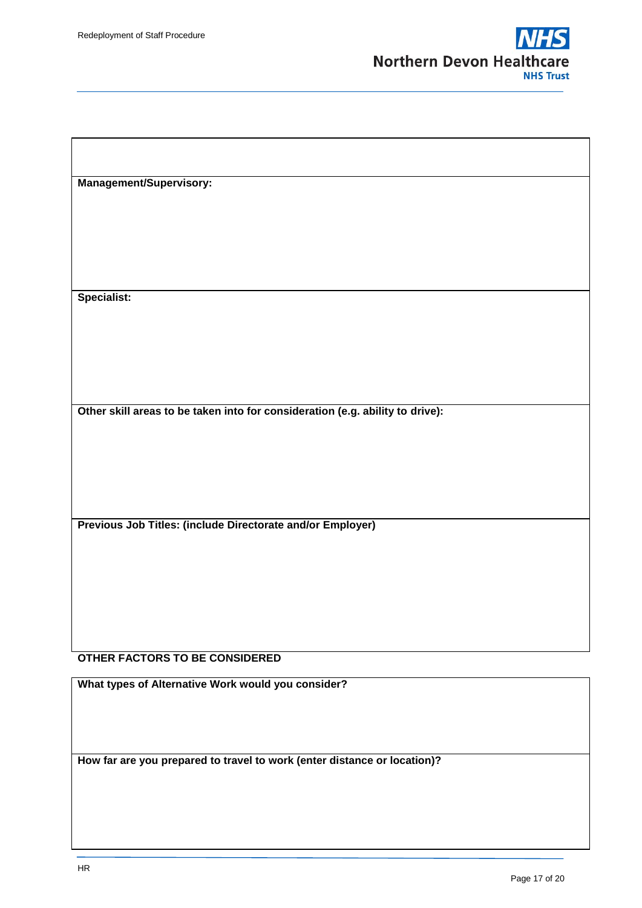

**Management/Supervisory: Specialist: Other skill areas to be taken into for consideration (e.g. ability to drive): Previous Job Titles: (include Directorate and/or Employer) OTHER FACTORS TO BE CONSIDERED**

**What types of Alternative Work would you consider?**

**How far are you prepared to travel to work (enter distance or location)?**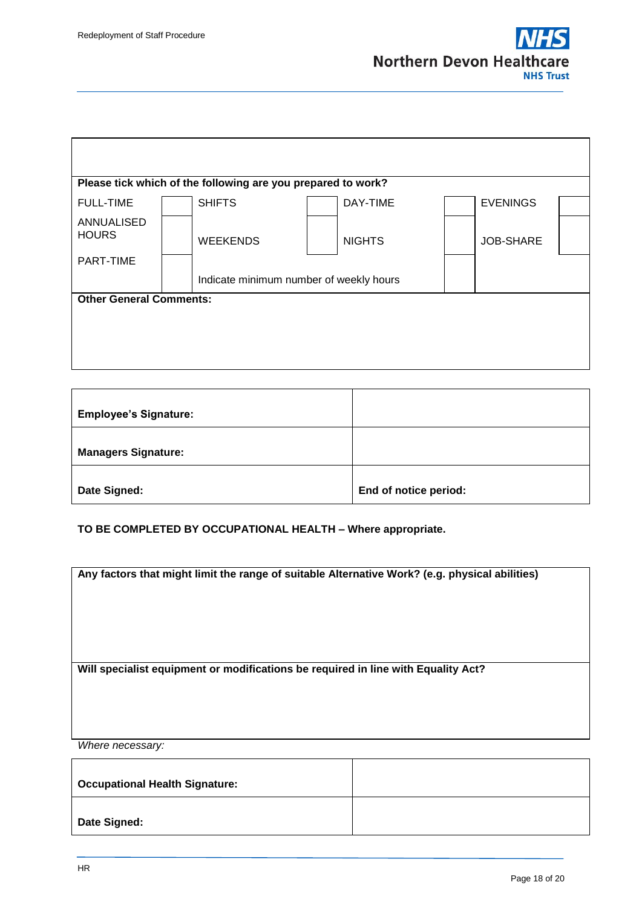ı



| Please tick which of the following are you prepared to work? |  |                                         |  |               |  |                 |  |  |
|--------------------------------------------------------------|--|-----------------------------------------|--|---------------|--|-----------------|--|--|
| <b>FULL-TIME</b>                                             |  | <b>SHIFTS</b>                           |  | DAY-TIME      |  | <b>EVENINGS</b> |  |  |
| ANNUALISED<br><b>HOURS</b>                                   |  | <b>WEEKENDS</b>                         |  | <b>NIGHTS</b> |  | JOB-SHARE       |  |  |
| PART-TIME                                                    |  | Indicate minimum number of weekly hours |  |               |  |                 |  |  |
| <b>Other General Comments:</b>                               |  |                                         |  |               |  |                 |  |  |
|                                                              |  |                                         |  |               |  |                 |  |  |
|                                                              |  |                                         |  |               |  |                 |  |  |
|                                                              |  |                                         |  |               |  |                 |  |  |

| <b>Employee's Signature:</b> |                       |
|------------------------------|-----------------------|
| <b>Managers Signature:</b>   |                       |
| Date Signed:                 | End of notice period: |

**TO BE COMPLETED BY OCCUPATIONAL HEALTH – Where appropriate.**

**Any factors that might limit the range of suitable Alternative Work? (e.g. physical abilities)**

**Will specialist equipment or modifications be required in line with Equality Act?**

*Where necessary:*

| <b>Occupational Health Signature:</b> |  |
|---------------------------------------|--|
| Date Signed:                          |  |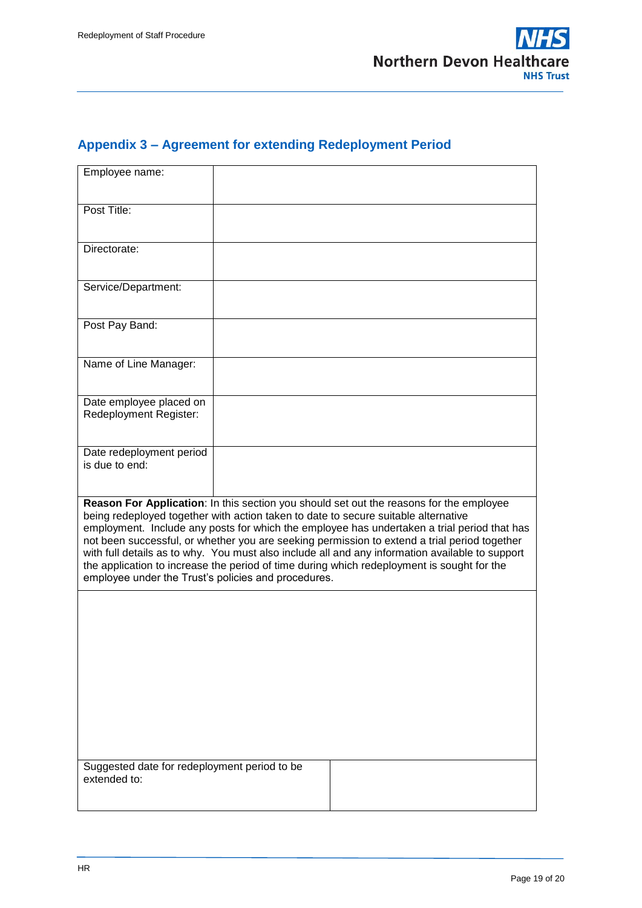## <span id="page-18-0"></span>**Appendix 3 – Agreement for extending Redeployment Period**

| Employee name:                                                                                                                                                                                                                                                                                                                                                                                                                                                                                                                                                                                                                       |  |  |  |  |
|--------------------------------------------------------------------------------------------------------------------------------------------------------------------------------------------------------------------------------------------------------------------------------------------------------------------------------------------------------------------------------------------------------------------------------------------------------------------------------------------------------------------------------------------------------------------------------------------------------------------------------------|--|--|--|--|
| Post Title:                                                                                                                                                                                                                                                                                                                                                                                                                                                                                                                                                                                                                          |  |  |  |  |
| Directorate:                                                                                                                                                                                                                                                                                                                                                                                                                                                                                                                                                                                                                         |  |  |  |  |
| Service/Department:                                                                                                                                                                                                                                                                                                                                                                                                                                                                                                                                                                                                                  |  |  |  |  |
| Post Pay Band:                                                                                                                                                                                                                                                                                                                                                                                                                                                                                                                                                                                                                       |  |  |  |  |
| Name of Line Manager:                                                                                                                                                                                                                                                                                                                                                                                                                                                                                                                                                                                                                |  |  |  |  |
| Date employee placed on<br>Redeployment Register:                                                                                                                                                                                                                                                                                                                                                                                                                                                                                                                                                                                    |  |  |  |  |
| Date redeployment period<br>is due to end:                                                                                                                                                                                                                                                                                                                                                                                                                                                                                                                                                                                           |  |  |  |  |
| Reason For Application: In this section you should set out the reasons for the employee<br>being redeployed together with action taken to date to secure suitable alternative<br>employment. Include any posts for which the employee has undertaken a trial period that has<br>not been successful, or whether you are seeking permission to extend a trial period together<br>with full details as to why. You must also include all and any information available to support<br>the application to increase the period of time during which redeployment is sought for the<br>employee under the Trust's policies and procedures. |  |  |  |  |
|                                                                                                                                                                                                                                                                                                                                                                                                                                                                                                                                                                                                                                      |  |  |  |  |
|                                                                                                                                                                                                                                                                                                                                                                                                                                                                                                                                                                                                                                      |  |  |  |  |
|                                                                                                                                                                                                                                                                                                                                                                                                                                                                                                                                                                                                                                      |  |  |  |  |
|                                                                                                                                                                                                                                                                                                                                                                                                                                                                                                                                                                                                                                      |  |  |  |  |
| Suggested date for redeployment period to be<br>extended to:                                                                                                                                                                                                                                                                                                                                                                                                                                                                                                                                                                         |  |  |  |  |